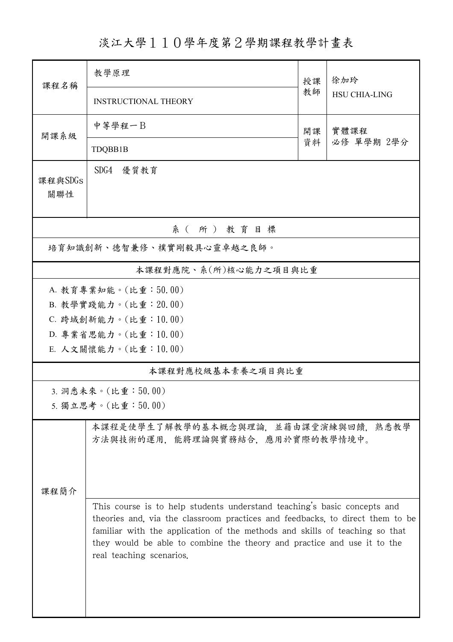淡江大學110學年度第2學期課程教學計畫表

| 課程名稱                                                                           | 教學原理                                                                                                                                                                                                                                                                                                                                            | 授課       | 徐加玲<br><b>HSU CHIA-LING</b> |  |  |  |  |  |
|--------------------------------------------------------------------------------|-------------------------------------------------------------------------------------------------------------------------------------------------------------------------------------------------------------------------------------------------------------------------------------------------------------------------------------------------|----------|-----------------------------|--|--|--|--|--|
|                                                                                | <b>INSTRUCTIONAL THEORY</b>                                                                                                                                                                                                                                                                                                                     | 教師       |                             |  |  |  |  |  |
| 開課系級                                                                           | 中等學程一B                                                                                                                                                                                                                                                                                                                                          | 開課<br>資料 | 實體課程<br>必修 單學期 2學分          |  |  |  |  |  |
|                                                                                | TDQBB1B                                                                                                                                                                                                                                                                                                                                         |          |                             |  |  |  |  |  |
| 課程與SDGs<br>關聯性                                                                 | SDG4<br>優質教育                                                                                                                                                                                                                                                                                                                                    |          |                             |  |  |  |  |  |
| 系(所)教育目標                                                                       |                                                                                                                                                                                                                                                                                                                                                 |          |                             |  |  |  |  |  |
| 培育知識創新、德智兼修、樸實剛毅具心靈卓越之良師。                                                      |                                                                                                                                                                                                                                                                                                                                                 |          |                             |  |  |  |  |  |
| 本課程對應院、系(所)核心能力之項目與比重                                                          |                                                                                                                                                                                                                                                                                                                                                 |          |                             |  |  |  |  |  |
|                                                                                | A. 教育專業知能。(比重:50.00)                                                                                                                                                                                                                                                                                                                            |          |                             |  |  |  |  |  |
|                                                                                | B. 教學實踐能力。(比重: 20.00)                                                                                                                                                                                                                                                                                                                           |          |                             |  |  |  |  |  |
|                                                                                | C. 跨域創新能力。(比重:10.00)                                                                                                                                                                                                                                                                                                                            |          |                             |  |  |  |  |  |
|                                                                                | D. 專業省思能力。(比重:10.00)                                                                                                                                                                                                                                                                                                                            |          |                             |  |  |  |  |  |
|                                                                                | E. 人文關懷能力。(比重:10.00)                                                                                                                                                                                                                                                                                                                            |          |                             |  |  |  |  |  |
| 本課程對應校級基本素養之項目與比重                                                              |                                                                                                                                                                                                                                                                                                                                                 |          |                             |  |  |  |  |  |
| 3. 洞悉未來。(比重:50.00)<br>5. 獨立思考。(比重:50.00)                                       |                                                                                                                                                                                                                                                                                                                                                 |          |                             |  |  |  |  |  |
| 本課程是使學生了解教學的基本概念與理論,並藉由課堂演練與回饋,熟悉教學<br>方法與技術的運用,能將理論與實務結合,應用於實際的教學情境中。<br>课程简介 |                                                                                                                                                                                                                                                                                                                                                 |          |                             |  |  |  |  |  |
|                                                                                | This course is to help students understand teaching's basic concepts and<br>theories and, via the classroom practices and feedbacks, to direct them to be<br>familiar with the application of the methods and skills of teaching so that<br>they would be able to combine the theory and practice and use it to the<br>real teaching scenarios. |          |                             |  |  |  |  |  |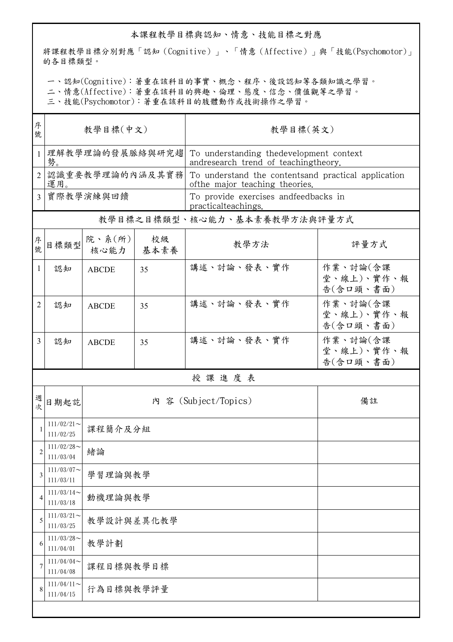## 本課程教學目標與認知、情意、技能目標之對應

將課程教學目標分別對應「認知(Cognitive)」、「情意(Affective)」與「技能(Psychomotor)」 的各目標類型。

一、認知(Cognitive):著重在該科目的事實、概念、程序、後設認知等各類知識之學習。

二、情意(Affective):著重在該科目的興趣、倫理、態度、信念、價值觀等之學習。

三、技能(Psychomotor):著重在該科目的肢體動作或技術操作之學習。

| 序<br>號         | 教學目標(中文)                     |                |            | 教學目標(英文)                                                                               |                                     |  |  |
|----------------|------------------------------|----------------|------------|----------------------------------------------------------------------------------------|-------------------------------------|--|--|
| $\mathbf{1}$   | 理解教學理論的發展脈絡與研究趨<br>勢。        |                |            | To understanding thedevelopment context<br>andresearch trend of teachingtheory.        |                                     |  |  |
| $\overline{2}$ | 認識重要教學理論的內涵及其實務<br>運用。       |                |            | To understand the contentsand practical application<br>of the major teaching theories. |                                     |  |  |
| $\overline{3}$ | 實際教學演練與回饋                    |                |            | To provide exercises andfeedbacks in<br>practicalteachings.                            |                                     |  |  |
|                | 教學目標之目標類型、核心能力、基本素養教學方法與評量方式 |                |            |                                                                                        |                                     |  |  |
| 序號             | 日標類型                         | 院、系(所)<br>核心能力 | 校級<br>基本素養 | 教學方法                                                                                   | 評量方式                                |  |  |
| 1              | 認知                           | <b>ABCDE</b>   | 35         | 講述、討論、發表、實作                                                                            | 作業、討論(含課<br>堂、線上)、實作、報<br>告(含口頭、書面) |  |  |
| 2              | 認知                           | <b>ABCDE</b>   | 35         | 講述、討論、發表、實作                                                                            | 作業、討論(含課<br>堂、線上)、實作、報<br>告(含口頭、書面) |  |  |
| 3              | 認知                           | <b>ABCDE</b>   | 35         | 講述、討論、發表、實作                                                                            | 作業、討論(含課<br>堂、線上)、實作、報<br>告(含口頭、書面) |  |  |
|                |                              |                |            | 授課進度表                                                                                  |                                     |  |  |
| 週<br>次         | 日期起訖                         |                |            | 內 容 (Subject/Topics)                                                                   | 備註                                  |  |  |
|                | $111/02/21$ ~<br>111/02/25   | 課程簡介及分組        |            |                                                                                        |                                     |  |  |
| 2              | $111/02/28$ ~<br>111/03/04   | 緒論             |            |                                                                                        |                                     |  |  |
| 3              | $111/03/07$ ~<br>111/03/11   | 學習理論與教學        |            |                                                                                        |                                     |  |  |
| 4              | $111/03/14$ ~<br>111/03/18   | 動機理論與教學        |            |                                                                                        |                                     |  |  |
| 5              | $111/03/21$ ~<br>111/03/25   | 教學設計與差異化教學     |            |                                                                                        |                                     |  |  |
| 6              | $111/03/28$ ~<br>111/04/01   | 教學計劃           |            |                                                                                        |                                     |  |  |
|                | 111/04/04<br>111/04/08       | 课程目標與教學目標      |            |                                                                                        |                                     |  |  |
| 8              | $111/04/11$ ~<br>111/04/15   | 行為目標與教學評量      |            |                                                                                        |                                     |  |  |
|                |                              |                |            |                                                                                        |                                     |  |  |